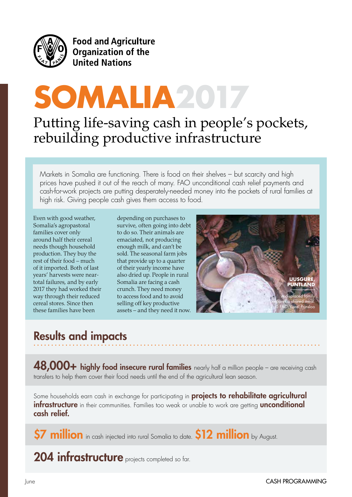

**Food and Agriculture** Organization of the **United Nations** 

# **SOMALIA2017**

## Putting life-saving cash in people's pockets, rebuilding productive infrastructure

Markets in Somalia are functioning. There is food on their shelves – but scarcity and high prices have pushed it out of the reach of many. FAO unconditional cash relief payments and cash-for-work projects are putting desperately-needed money into the pockets of rural families at high risk. Giving people cash gives them access to food.

Even with good weather, Somalia's agropastoral families cover only around half their cereal needs though household production. They buy the rest of their food – much of it imported. Both of last years' harvests were neartotal failures, and by early 2017 they had worked their way through their reduced cereal stores. Since then these families have been

depending on purchases to survive, often going into debt to do so. Their animals are emaciated, not producing enough milk, and can't be sold. The seasonal farm jobs that provide up to a quarter of their yearly income have also dried up. People in rural Somalia are facing a cash crunch. They need money to access food and to avoid selling off key productive assets – and they need it now.



## Results and impacts

**48,000+ highly food insecure rural families** nearly half a million people – are receiving cash transfers to help them cover their food needs until the end of the agricultural lean season.

Some households earn cash in exchange for participating in **projects to rehabilitate agricultural infrastructure** in their communities. Families too weak or unable to work are getting **unconditional** cash relief.

 $$7$  million in cash injected into rural Somalia to date.  $$12$  million by August.

204 infrastructure projects completed so far.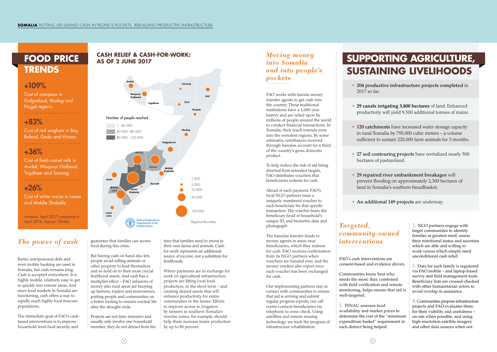# **FOOD PRICE TRENDS**

### +109%

Cost of cowpeas in Galgaduud, Mudug and Nugal regions. 

#### +83%

Cost of red sorghum in Bay, Bakool, Gedo and Hiraan.

#### +36%

Cost of fresh camel milk in Awdal, Woqooyi Galbeed, Togdheer and Sanaag. 

#### +26%

Cost of white maize in Lower and Middle Shabelle.

*Increase, April 2017 compared to April 2016. Source: FSNAU.*

#### *The power of cash*

Barter, interpersonal debt and even mobile banking are used in Somalia, but cash remains king. Cash is accepted everywhere. It is highly mobile, relatively easy to get to quickly into remote areas. And since food markets in Somalia are functioning, cash offers a way to rapidly reach highly food insecure populations.

The immediate goal of FAO's cashbased interventions is to improve household-level food security and

guarantee that families can access food during this crisis.

But having cash on hand also lets people avoid selling animals or other property to feed themselves and so hold on to their most crucial livelihood assets. And cash has a multiplier effect – FAO infusions of money into rural areas are buoying up farmers, traders and storeowners, putting people and communities on a better footing to resume normal life after the drought ends.

Projects are not time-intensive and usually only involve one household member; they do not detract from the

time that families need to invest in their own farms and animals. Cashfor-work represents an additional source of income, not a substitute for livelihoods.

Where payments are in exchange for work on agricultural infrastructure, projects are lifting local food production, in the short term – and creating shared assets that will enhance productivity for entire communities in the future. Efforts to improve access to irrigation by farmers in southern Somalia's riverine zones, for example, should help them increase maize production by up to 80 percent.

Communities know best who needs the most; that, combined with field verification and remote monitoring, helps ensure that aid is well-targeted.

#### *Moving money into Somalia and into people's pockets*

FAO works with *hawala* money transfer agents to get cash into the country. These traditional institutions have a 1,000-year history and are relied upon by millions of people around the world to conduct financial transactions. In Somalia, their reach extends even into the remotest regions. By some estimates, remittances received through hawalas account for a third of the country's gross domestic product.

• 120 catchments have increased water storage capacity in rural Somalia by 795,000 cubic meters – a volume sufficient to sustain 220,000 farm animals for 3 months.

To help reduce the risk of aid being diverted from intended targets, FAO distributes vouchers that beneficiaries redeem for cash.

Ahead of each payment, FAO's local NGO partners issue a uniquely-numbered voucher to each beneficiary for that specific transaction. The voucher bears the beneficiary head of household's unique ID, and biometric data and photograph.

The hawalas transfer funds to money agents in areas near beneficiaries, which they redeem for cash. FAO receives confirmation from its NGO partners when vouchers are handed over, and the money venders also report once each voucher has been exchanged for cash.

Our implementing partners stay in contact with communities to ensure that aid is arriving and submit regular progress reports; our call centre contacts beneficiaries via telephone to cross-check. Using satellites and remote sensing technology, we track the progress of infrastructure rehabilitation.

#### *Targeted, community-owned interventions*

FAO's cash interventions are consent-based and evidence driven.

**1.** FSNAU assesses food availability and market prices to determine the cost of the "minimum expenditure basket" requirement in each district being helped.

**2.** NGO partners engage with target communities to identify families at greatest need, assess their nutritional status and ascertain which are able and willing to work versus which simply need unconditional cash relief.

**3.** Data for each family is registered via FAO mobile – and laptop-based survey and field management tools. Beneficiary lists are crossed-checked with other humanitarian actors to avoid overlap in assistance.

**4.** Communities propose infrastructure projects and FAO evaluates them for their viability and usefulness – on-site when possible, and using high-resolution satellite imagery and other data sources when not.



• 204 productive infrastructure projects completed in

- 2017 so far.
- 
- 
- 
- 
- 

• **29 canals irrigating 3,800 hectares** of land. Enhanced productivity will yield 9,500 additional tonnes of maize.

• 27 soil contouring projects have revitalized nearly 500 hectares of pastureland.

• 29 repaired river embankment breakages will prevent flooding on approximately 2,300 hectares of land in Somalia's southern breadbasket.

• An additional 149 projects are underway.

# **SUPPORTING AGRICULTURE, SUSTAINING LIVELIHOODS**

#### **CASH RELIEF & CASH-FOR-WORK: AS OF 2 JUNE 2017**